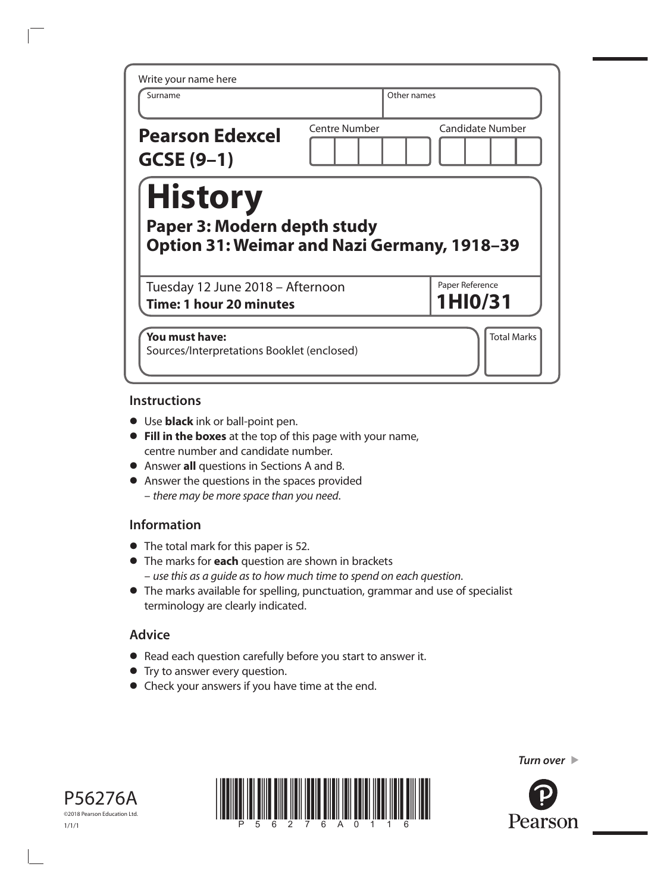| Surname                                                                           | Other names          |                            |
|-----------------------------------------------------------------------------------|----------------------|----------------------------|
| <b>Pearson Edexcel</b><br>$GCSE(9-1)$                                             | <b>Centre Number</b> | <b>Candidate Number</b>    |
| <b>History</b>                                                                    |                      |                            |
| Paper 3: Modern depth study<br><b>Option 31: Weimar and Nazi Germany, 1918-39</b> |                      |                            |
| Tuesday 12 June 2018 - Afternoon<br><b>Time: 1 hour 20 minutes</b>                |                      | Paper Reference<br>1HI0/31 |

### **Instructions**

- **•** Use **black** ink or ball-point pen.
- **• Fill in the boxes** at the top of this page with your name, centre number and candidate number.
- **•** Answer **all** questions in Sections A and B.
- **•** Answer the questions in the spaces provided – *there may be more space than you need*.

## **Information**

- **•** The total mark for this paper is 52.
- **•** The marks for **each** question are shown in brackets – *use this as a guide as to how much time to spend on each question*.
- **•** The marks available for spelling, punctuation, grammar and use of specialist terminology are clearly indicated.

# **Advice**

- **•** Read each question carefully before you start to answer it.
- **•** Try to answer every question.
- **•** Check your answers if you have time at the end.





*Turn over* 

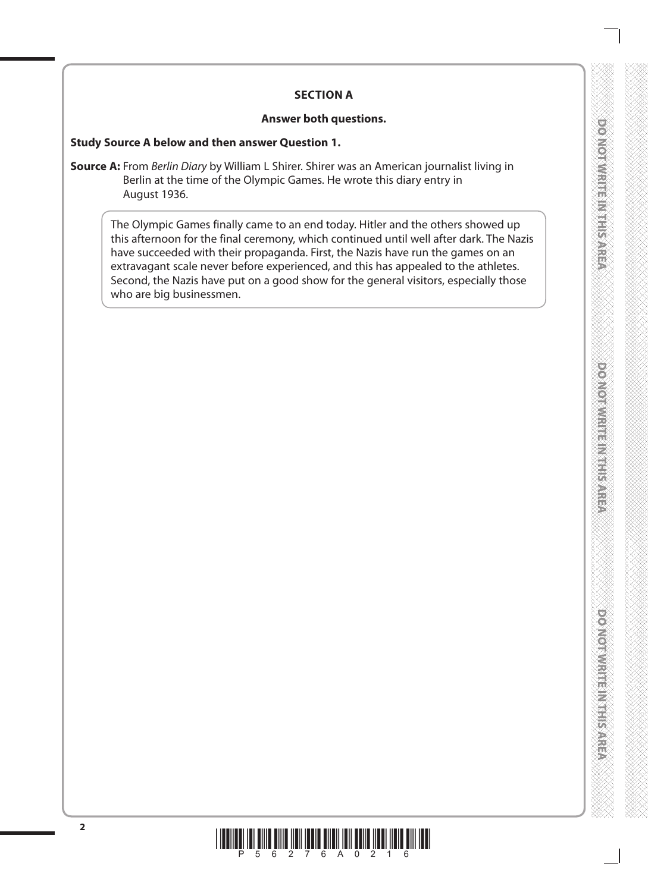**DO NO MENTE MITHS AREA** 

DONOTWRITEINTHIS AREA

## **SECTION A**

#### **Answer both questions.**

#### **Study Source A below and then answer Question 1.**

**Source A:** From *Berlin Diary* by William L Shirer. Shirer was an American journalist living in Berlin at the time of the Olympic Games. He wrote this diary entry in August 1936.

The Olympic Games finally came to an end today. Hitler and the others showed up this afternoon for the final ceremony, which continued until well after dark. The Nazis have succeeded with their propaganda. First, the Nazis have run the games on an extravagant scale never before experienced, and this has appealed to the athletes. Second, the Nazis have put on a good show for the general visitors, especially those who are big businessmen.

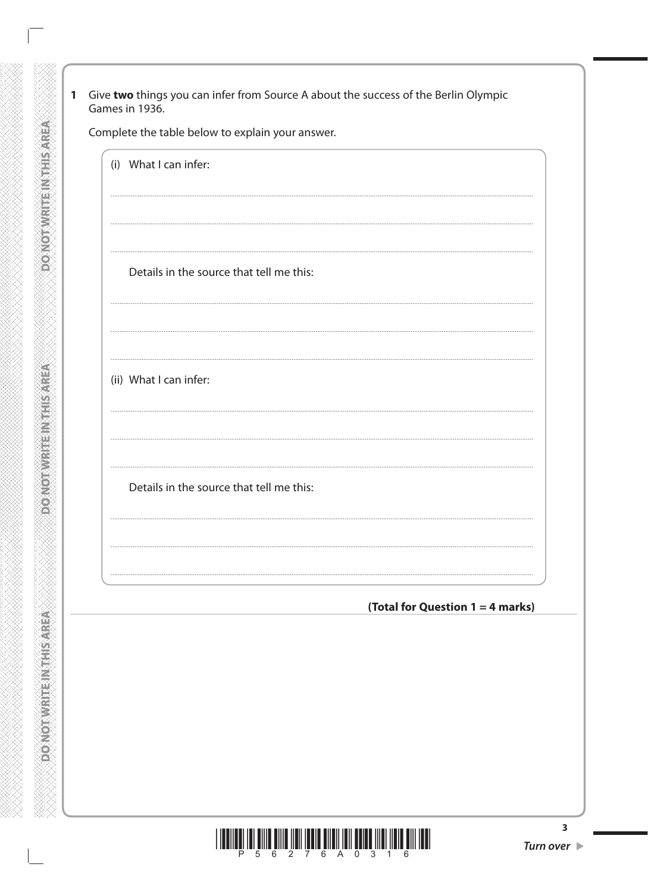| (i) What I can infer:  |                                          |                                  |  |
|------------------------|------------------------------------------|----------------------------------|--|
|                        |                                          |                                  |  |
|                        | Details in the source that tell me this: |                                  |  |
|                        |                                          |                                  |  |
| (ii) What I can infer: |                                          |                                  |  |
|                        |                                          |                                  |  |
|                        | Details in the source that tell me this: |                                  |  |
|                        |                                          |                                  |  |
|                        |                                          | (Total for Question 1 = 4 marks) |  |
|                        |                                          |                                  |  |
|                        |                                          |                                  |  |

**DONOTWRITE IN THIS AREA** 

**DOMOTWERE INTHIS AREA** 

**DOMOT WRITE IN THIS AREA** 



 $\overline{\mathbf{3}}$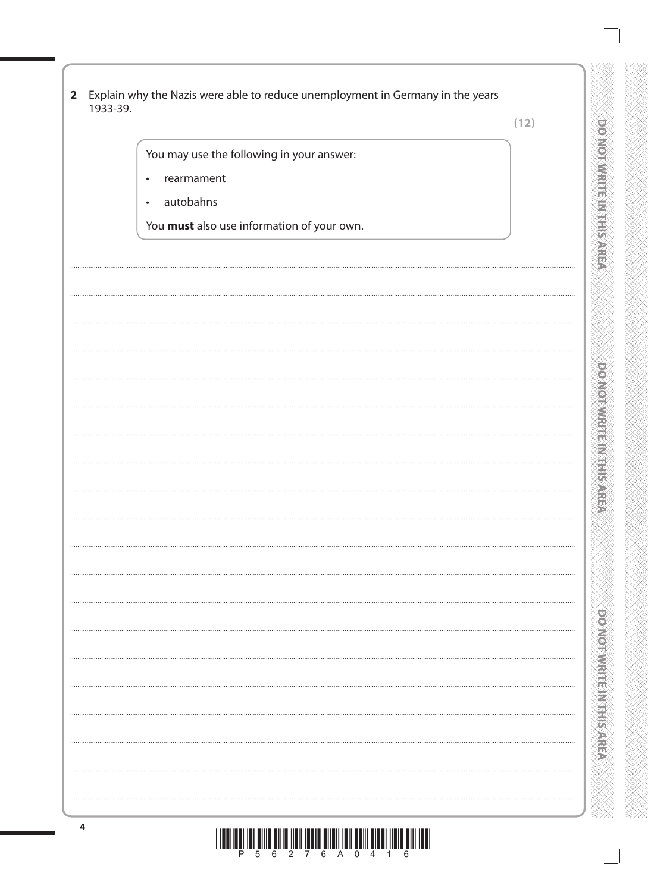| 2 Explain why the Nazis were able to reduce unemployment in Germany in the years |
|----------------------------------------------------------------------------------|
| 1933-39.                                                                         |

 $(12)$ 

You may use the following in your answer:

- rearmament  $\bullet$
- autobahns  $\ddot{\phantom{a}}$

You **must** also use information of your own.

| ý,                                  |
|-------------------------------------|
|                                     |
| ij<br>i                             |
| ì                                   |
| ś                                   |
|                                     |
| KXXXXXXXXX                          |
| i<br>١                              |
| ü                                   |
|                                     |
| X<br>X                              |
|                                     |
|                                     |
| ż                                   |
|                                     |
|                                     |
| ξ                                   |
|                                     |
| e e e e                             |
|                                     |
|                                     |
| í                                   |
|                                     |
|                                     |
|                                     |
|                                     |
|                                     |
|                                     |
|                                     |
| Í                                   |
|                                     |
|                                     |
|                                     |
|                                     |
| ARRA ARRA ARRA ARRA A MARA A MARA A |
|                                     |
|                                     |
|                                     |
|                                     |
|                                     |
|                                     |
|                                     |
| œ                                   |
|                                     |
|                                     |
|                                     |
|                                     |
| ä.<br>¥                             |
|                                     |
| Š                                   |
|                                     |
|                                     |
|                                     |
| ES ES ES ES ES E                    |
|                                     |
|                                     |
|                                     |
|                                     |
|                                     |
|                                     |
|                                     |
|                                     |
|                                     |
| X                                   |
| ソンシンン<br>ł                          |
|                                     |
| ÿ                                   |
|                                     |
| š                                   |
| Ş<br>Š<br>$\overline{a}$            |
| $\hat{\zeta}$                       |
|                                     |
|                                     |
| Š<br>č                              |
|                                     |
| s                                   |
| Š                                   |
| $\frac{1}{2}$                       |
|                                     |
|                                     |
|                                     |
|                                     |
| è                                   |
| Š                                   |
| $\leq$                              |
| ć                                   |
|                                     |
| ss s                                |
| f                                   |
| ś<br>Ś                              |
| Ś                                   |
| Ì                                   |
| Š                                   |
| Į                                   |
| Ŝ                                   |
| $\overline{\phantom{a}}$            |
| ×                                   |
| i.                                  |
| é                                   |
|                                     |
|                                     |
|                                     |
| Ã                                   |
|                                     |
|                                     |
|                                     |
|                                     |
|                                     |
|                                     |
|                                     |
|                                     |
|                                     |
|                                     |
|                                     |
|                                     |
|                                     |
|                                     |
|                                     |
| Ú                                   |
| $\ddot{\phantom{0}}$<br>Ý           |
|                                     |
|                                     |
|                                     |
| Š                                   |
| $\langle$                           |
|                                     |
|                                     |
| Ç<br>Š                              |

**DO NOTWRITERN HIS AREA** 

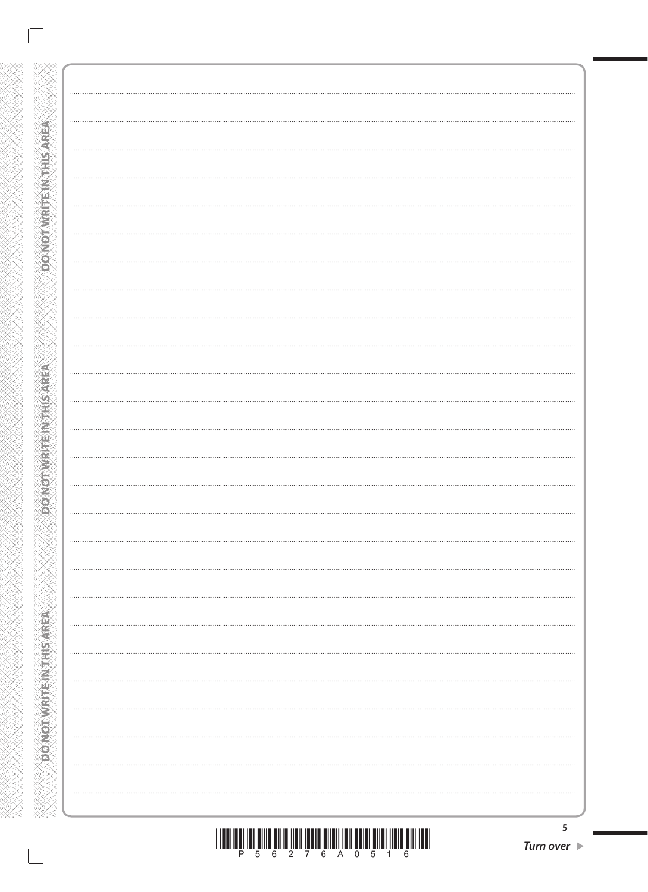| <b>RELIX STRAINER IN STORES</b> |  |
|---------------------------------|--|
|                                 |  |
|                                 |  |
|                                 |  |
|                                 |  |
|                                 |  |
|                                 |  |
|                                 |  |
|                                 |  |
|                                 |  |
|                                 |  |
|                                 |  |
|                                 |  |
|                                 |  |
|                                 |  |
|                                 |  |
|                                 |  |
|                                 |  |
| <b>CERTIFICATION</b>            |  |
|                                 |  |
|                                 |  |
|                                 |  |
|                                 |  |
|                                 |  |
|                                 |  |
|                                 |  |
|                                 |  |
|                                 |  |
|                                 |  |
|                                 |  |
|                                 |  |
|                                 |  |
|                                 |  |
|                                 |  |
|                                 |  |
|                                 |  |
|                                 |  |
|                                 |  |
|                                 |  |
|                                 |  |
|                                 |  |
|                                 |  |
|                                 |  |
|                                 |  |
|                                 |  |
|                                 |  |
|                                 |  |
|                                 |  |
|                                 |  |
|                                 |  |
|                                 |  |
|                                 |  |
|                                 |  |
|                                 |  |
|                                 |  |
|                                 |  |
|                                 |  |
|                                 |  |
|                                 |  |
|                                 |  |
|                                 |  |
|                                 |  |
|                                 |  |
|                                 |  |
|                                 |  |
|                                 |  |
|                                 |  |
|                                 |  |
|                                 |  |
|                                 |  |
|                                 |  |
|                                 |  |
|                                 |  |
| <b>DO NOT WRITE NISTER</b>      |  |
|                                 |  |
|                                 |  |
|                                 |  |
|                                 |  |
|                                 |  |
|                                 |  |
|                                 |  |
|                                 |  |
|                                 |  |
|                                 |  |
|                                 |  |
|                                 |  |
|                                 |  |
|                                 |  |
|                                 |  |
|                                 |  |
|                                 |  |
|                                 |  |
|                                 |  |
|                                 |  |
|                                 |  |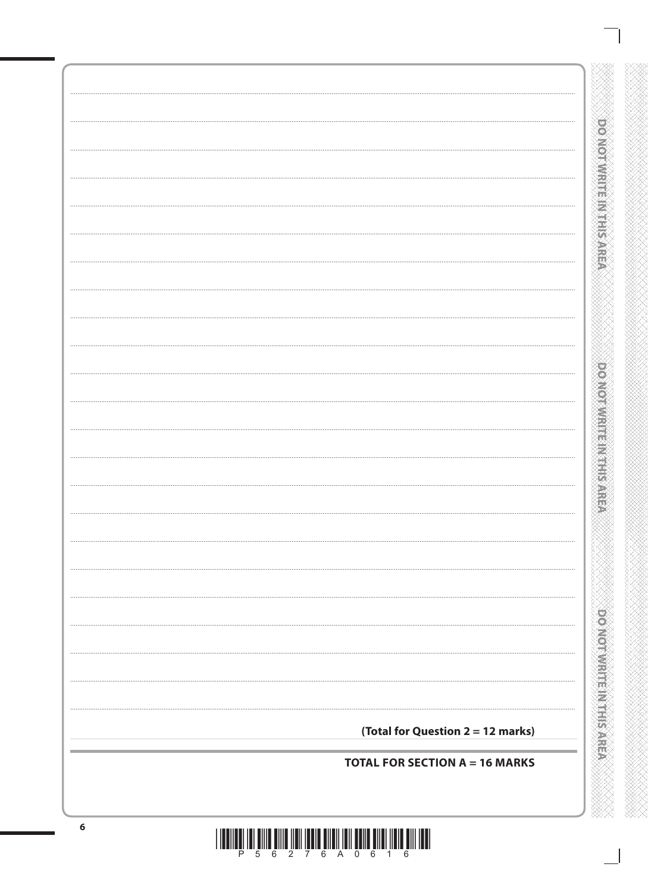| <b>DO NOT WRITE IN THIS AREA</b> |
|----------------------------------|

SXXXXXX

| <b>TOTAL FOR SECTION A = 16 MARKS</b> |
|---------------------------------------|
| (Total for Question 2 = 12 marks)     |
|                                       |
|                                       |
|                                       |
|                                       |
|                                       |
|                                       |
|                                       |
|                                       |
|                                       |
|                                       |
|                                       |
|                                       |
|                                       |
|                                       |
|                                       |
|                                       |
|                                       |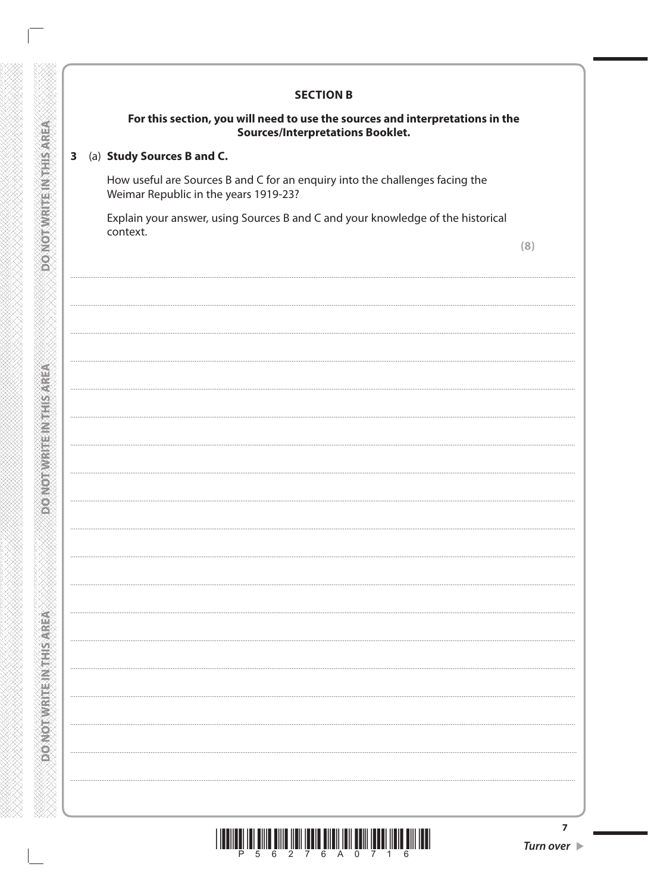#### **SECTION B**

#### For this section, you will need to use the sources and interpretations in the **Sources/Interpretations Booklet.**

#### 3 (a) Study Sources B and C.

How useful are Sources B and C for an enquiry into the challenges facing the Weimar Republic in the years 1919-23?

Explain your answer, using Sources B and C and your knowledge of the historical context.

|   | I<br>$\frac{1}{2}$                |    |  |
|---|-----------------------------------|----|--|
| × | <b>Contract Contract Contract</b> | ۰, |  |



 $\overline{7}$ 

**DOMORAVISTICITY** 

**ASSINGLYMENTE IN THIS AREA**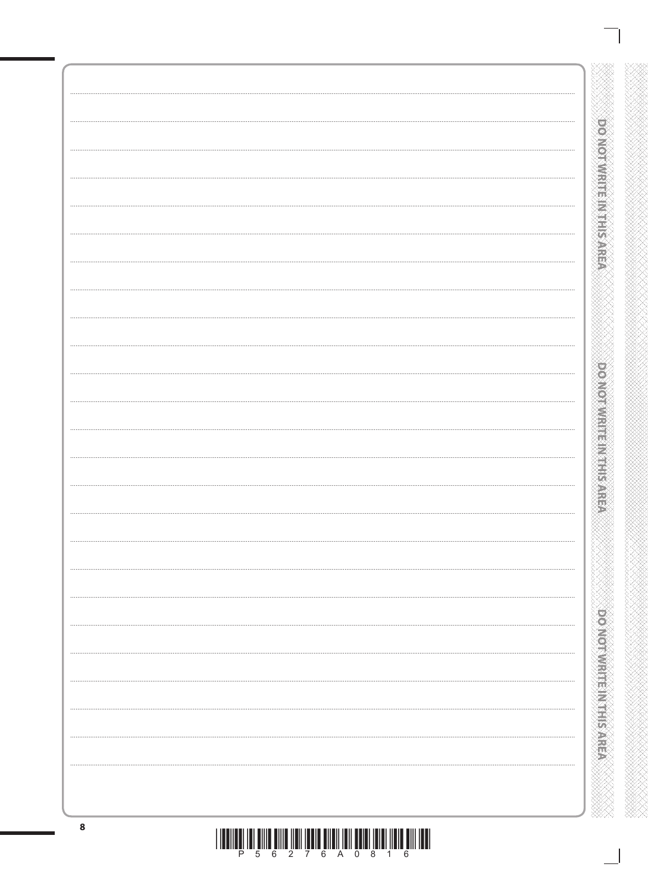|        | ×                |
|--------|------------------|
|        | ś<br>ü           |
|        | ò                |
|        | Ş                |
|        |                  |
|        |                  |
| .<br>ï | V                |
|        |                  |
|        | Ĉ                |
|        | RANAN MANAG<br>Ĉ |
|        | $\leq$           |
|        |                  |
|        | ξ<br>ÿ           |
|        | $\leq$<br>ś      |
|        | ÿ                |
|        | $\leq$<br>ì      |
|        | ξ                |
|        | $\leq$           |
|        | ś<br>ć           |
|        |                  |
|        | ś                |
|        | ÿ<br>ś           |
|        | š<br>J<br>í      |
|        | ú<br>Š<br>u      |
|        | ì                |
|        |                  |
|        | ù                |
|        | ú                |
|        | I                |
|        | 쓸                |
|        | ⇔<br>í           |
|        | ø                |
|        |                  |
|        | ņ                |
|        |                  |
|        | š,<br>w          |
|        | A<br>ł           |
|        |                  |
|        |                  |
|        |                  |
|        |                  |
|        |                  |
|        |                  |

11.<br>11.

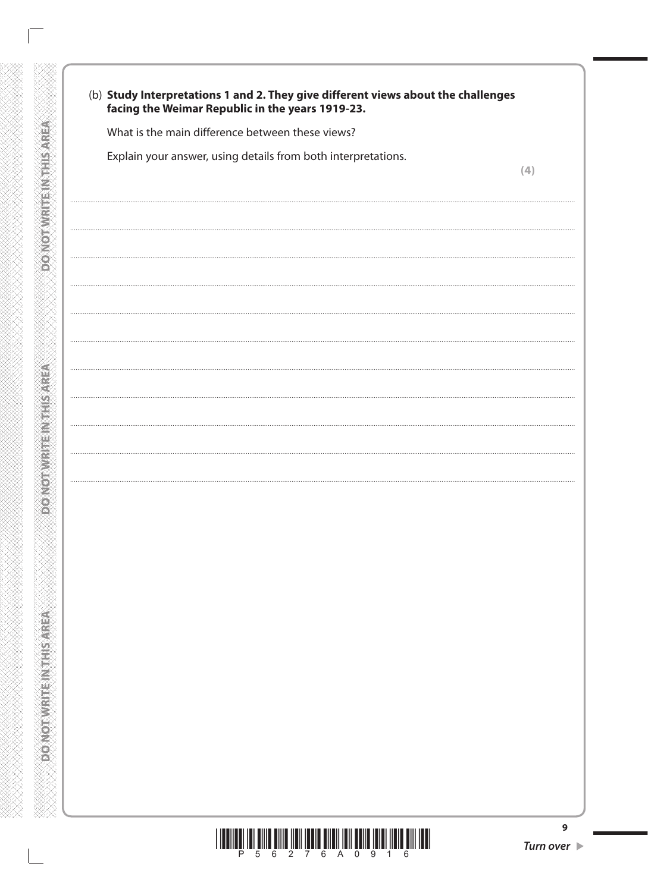| What is the main difference between these views?              |     |
|---------------------------------------------------------------|-----|
| Explain your answer, using details from both interpretations. | (4) |
|                                                               |     |
|                                                               |     |
|                                                               |     |
|                                                               |     |
|                                                               |     |
|                                                               |     |
|                                                               |     |
|                                                               |     |
|                                                               |     |
|                                                               |     |
|                                                               |     |
|                                                               |     |
|                                                               |     |
|                                                               |     |
|                                                               |     |
|                                                               |     |
|                                                               |     |
|                                                               |     |
|                                                               |     |
|                                                               |     |
|                                                               |     |
|                                                               |     |

**DOMOT WRITE IN THIS AREA** 

*REAL EXAMPLE MARKED AND SOME* 

**DONOTWRITEINTHIS AREA** 



 $\mathbf{9}$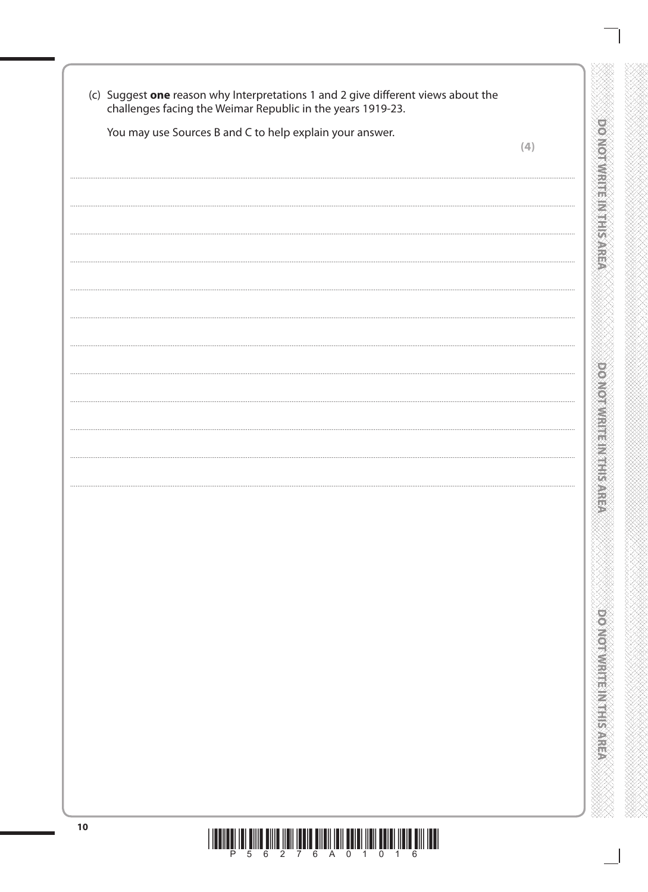| challenges facing the Weimar Republic in the years 1919-23.<br>You may use Sources B and C to help explain your answer. |     |
|-------------------------------------------------------------------------------------------------------------------------|-----|
|                                                                                                                         | (4) |
|                                                                                                                         |     |
|                                                                                                                         |     |
|                                                                                                                         |     |
|                                                                                                                         |     |
|                                                                                                                         |     |
|                                                                                                                         |     |
|                                                                                                                         |     |
|                                                                                                                         |     |
|                                                                                                                         |     |
|                                                                                                                         |     |
|                                                                                                                         |     |
|                                                                                                                         |     |
|                                                                                                                         |     |
|                                                                                                                         |     |
|                                                                                                                         |     |
|                                                                                                                         |     |
|                                                                                                                         |     |
|                                                                                                                         |     |
|                                                                                                                         |     |
|                                                                                                                         |     |
|                                                                                                                         |     |
|                                                                                                                         |     |
|                                                                                                                         |     |
|                                                                                                                         |     |
|                                                                                                                         |     |
|                                                                                                                         |     |
|                                                                                                                         |     |
|                                                                                                                         |     |
|                                                                                                                         |     |

 $\overline{\mathbb{I}}$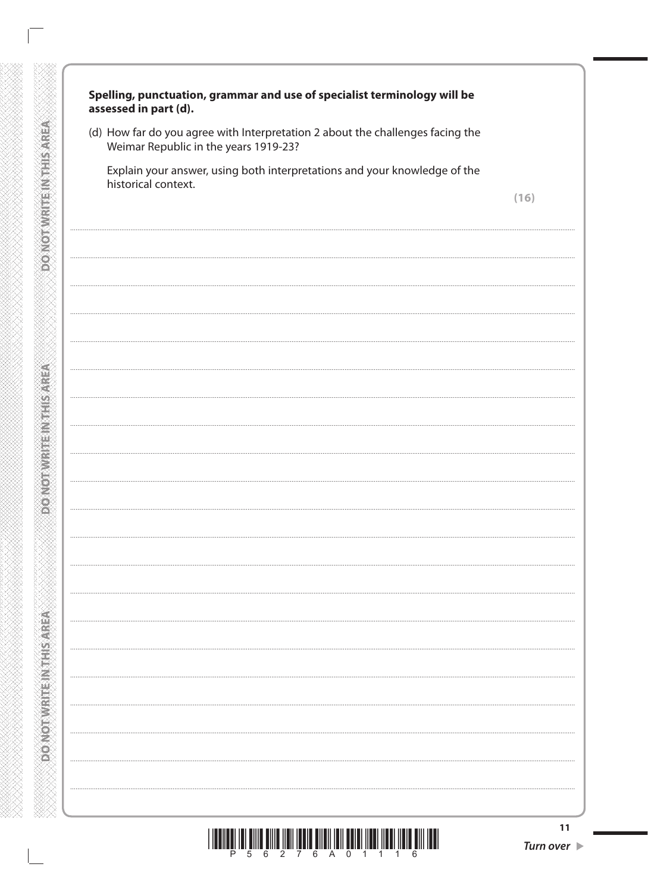| assessed in part (d).                                                                                                   |      |
|-------------------------------------------------------------------------------------------------------------------------|------|
| (d) How far do you agree with Interpretation 2 about the challenges facing the<br>Weimar Republic in the years 1919-23? |      |
| Explain your answer, using both interpretations and your knowledge of the                                               |      |
| historical context.                                                                                                     | (16) |
|                                                                                                                         |      |
|                                                                                                                         |      |
|                                                                                                                         |      |
|                                                                                                                         |      |
|                                                                                                                         |      |
|                                                                                                                         |      |
|                                                                                                                         |      |
|                                                                                                                         |      |
|                                                                                                                         |      |
|                                                                                                                         |      |
|                                                                                                                         |      |
|                                                                                                                         |      |
|                                                                                                                         |      |
|                                                                                                                         |      |
|                                                                                                                         |      |
|                                                                                                                         |      |
|                                                                                                                         |      |
|                                                                                                                         |      |
|                                                                                                                         |      |
|                                                                                                                         |      |
|                                                                                                                         |      |
|                                                                                                                         |      |
|                                                                                                                         |      |
|                                                                                                                         |      |
|                                                                                                                         |      |
|                                                                                                                         |      |

**DONOTWRITEINTHSAREA** 

**DONOTWRITEINTHISAREA** 

**ASSASHENGEMENTONOG** 

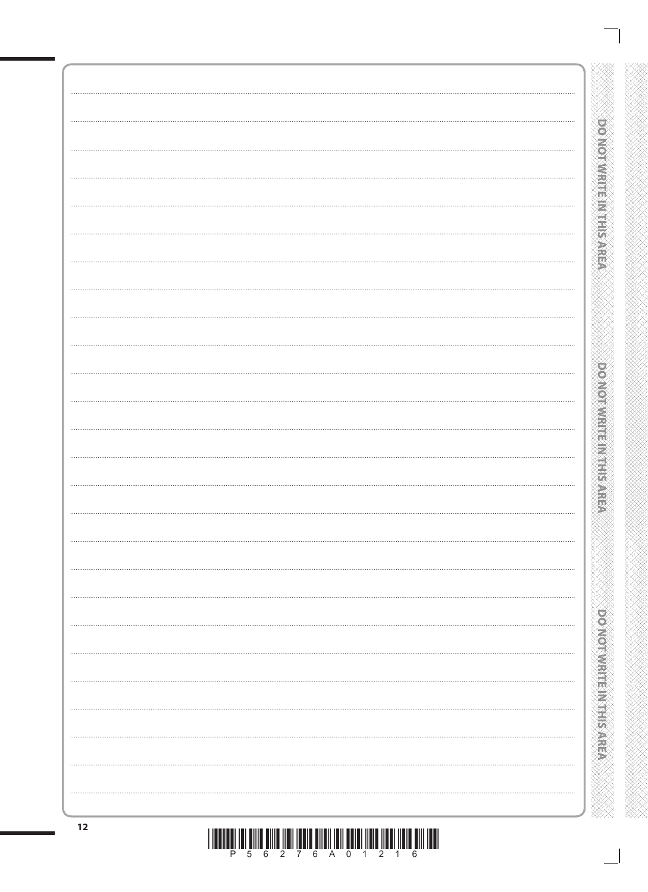| <b>POWOTWRITERNIERS AREA</b><br>.<br>.<br><b>CONSTRUCTION</b><br><br><b>DOMOTIVE RESIDENCES</b><br><br>.<br>12 |  |
|----------------------------------------------------------------------------------------------------------------|--|
|                                                                                                                |  |
|                                                                                                                |  |
|                                                                                                                |  |
|                                                                                                                |  |
|                                                                                                                |  |
|                                                                                                                |  |
|                                                                                                                |  |
|                                                                                                                |  |
|                                                                                                                |  |
|                                                                                                                |  |
|                                                                                                                |  |
|                                                                                                                |  |
|                                                                                                                |  |
|                                                                                                                |  |
|                                                                                                                |  |
|                                                                                                                |  |
|                                                                                                                |  |
|                                                                                                                |  |
|                                                                                                                |  |
|                                                                                                                |  |
|                                                                                                                |  |
|                                                                                                                |  |
|                                                                                                                |  |
|                                                                                                                |  |
|                                                                                                                |  |
|                                                                                                                |  |
|                                                                                                                |  |
|                                                                                                                |  |
|                                                                                                                |  |
|                                                                                                                |  |
|                                                                                                                |  |
|                                                                                                                |  |
|                                                                                                                |  |
|                                                                                                                |  |
|                                                                                                                |  |
|                                                                                                                |  |
|                                                                                                                |  |
|                                                                                                                |  |
|                                                                                                                |  |
|                                                                                                                |  |
|                                                                                                                |  |
|                                                                                                                |  |
|                                                                                                                |  |
|                                                                                                                |  |
|                                                                                                                |  |
|                                                                                                                |  |
|                                                                                                                |  |
|                                                                                                                |  |
|                                                                                                                |  |
|                                                                                                                |  |
|                                                                                                                |  |
|                                                                                                                |  |
|                                                                                                                |  |
|                                                                                                                |  |
|                                                                                                                |  |
|                                                                                                                |  |
|                                                                                                                |  |
|                                                                                                                |  |
|                                                                                                                |  |
|                                                                                                                |  |
|                                                                                                                |  |
|                                                                                                                |  |
|                                                                                                                |  |
|                                                                                                                |  |
|                                                                                                                |  |
|                                                                                                                |  |
|                                                                                                                |  |
|                                                                                                                |  |
|                                                                                                                |  |
|                                                                                                                |  |
|                                                                                                                |  |
|                                                                                                                |  |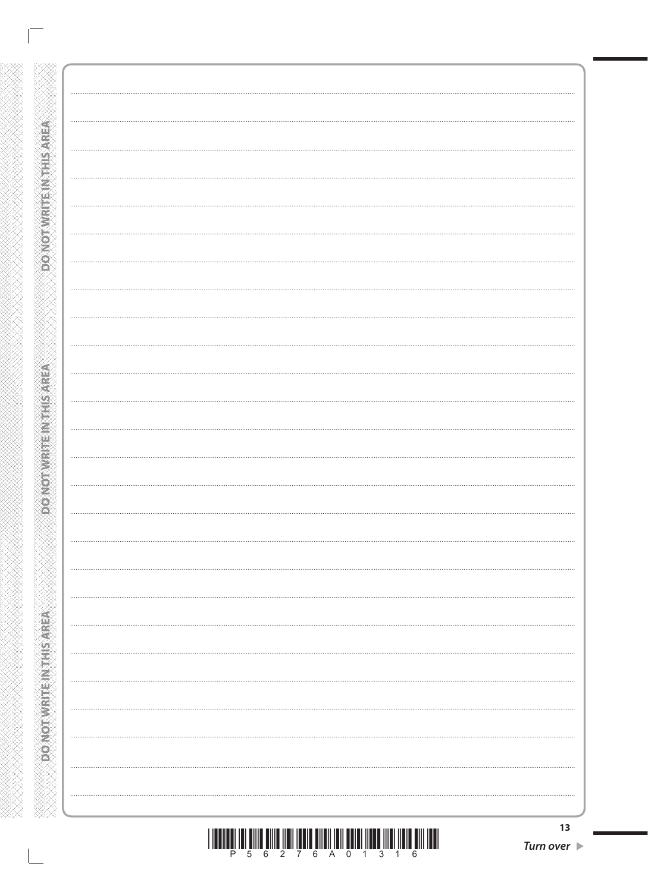| <br><br><br><br><br><br>13 |  |
|----------------------------|--|
|                            |  |
|                            |  |
|                            |  |
|                            |  |
|                            |  |
|                            |  |
|                            |  |
|                            |  |
|                            |  |
|                            |  |
|                            |  |
|                            |  |
|                            |  |
|                            |  |
|                            |  |
|                            |  |
|                            |  |
|                            |  |
|                            |  |
|                            |  |
|                            |  |
|                            |  |
|                            |  |
|                            |  |
|                            |  |
|                            |  |
|                            |  |
|                            |  |
|                            |  |
|                            |  |
|                            |  |
|                            |  |
|                            |  |
|                            |  |
|                            |  |
|                            |  |
|                            |  |
|                            |  |
|                            |  |
|                            |  |
|                            |  |
|                            |  |
|                            |  |
|                            |  |
|                            |  |
|                            |  |
|                            |  |
|                            |  |
|                            |  |
|                            |  |
|                            |  |
|                            |  |
|                            |  |
|                            |  |
|                            |  |
|                            |  |
|                            |  |
|                            |  |
|                            |  |
|                            |  |
|                            |  |
|                            |  |
|                            |  |
|                            |  |
|                            |  |
|                            |  |
|                            |  |
|                            |  |
|                            |  |
|                            |  |
|                            |  |
|                            |  |
|                            |  |
|                            |  |
|                            |  |
|                            |  |
|                            |  |
|                            |  |
|                            |  |
|                            |  |
|                            |  |
|                            |  |
|                            |  |
|                            |  |
|                            |  |
|                            |  |
|                            |  |

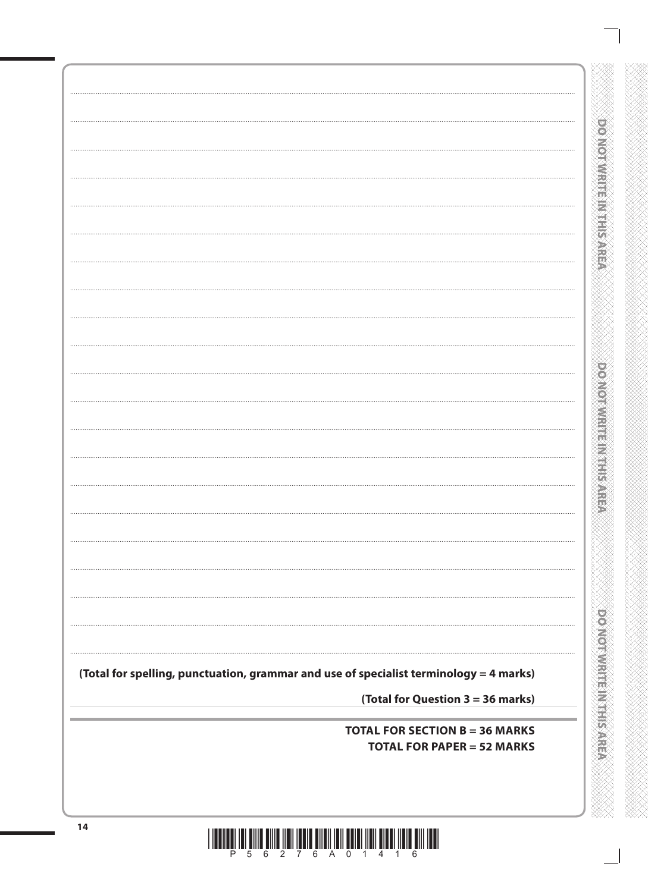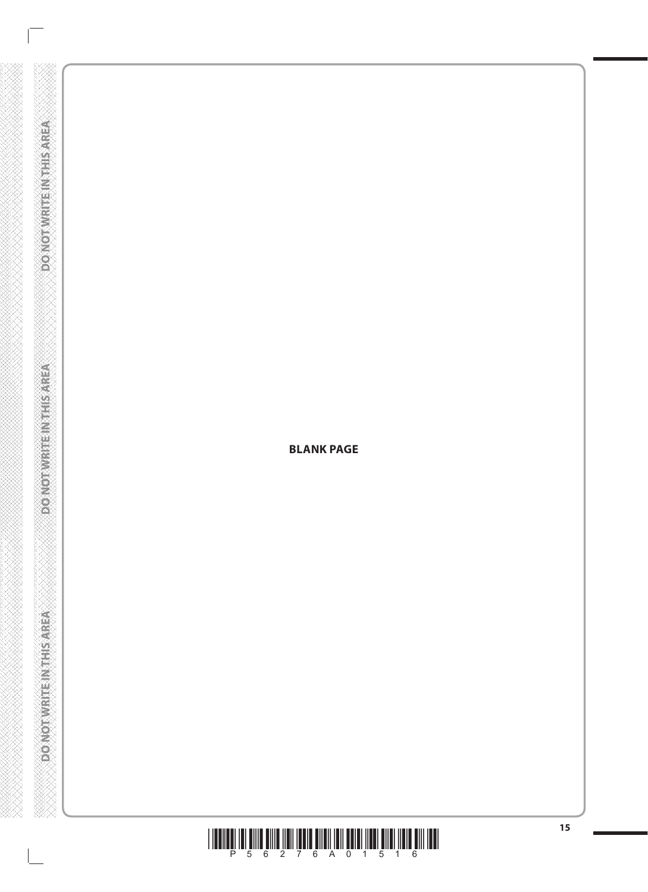

**DOMOTWATEMATHSAREA** 

WWWWWWWWWWWWW

**BLANK PAGE** 

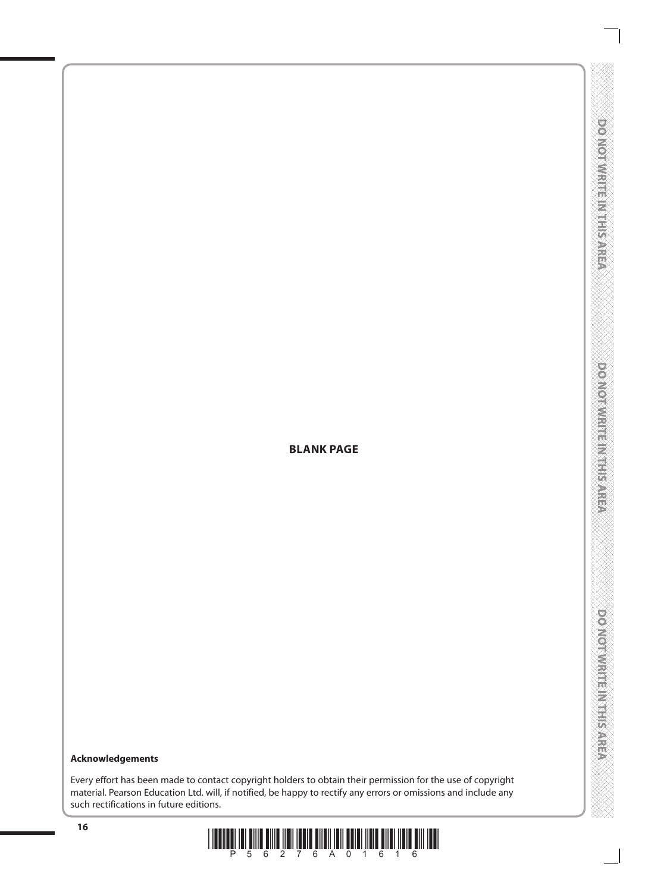## **BLANK PAGE**

#### **Acknowledgements**

Every effort has been made to contact copyright holders to obtain their permission for the use of copyright material. Pearson Education Ltd. will, if notified, be happy to rectify any errors or omissions and include any such rectifications in future editions.

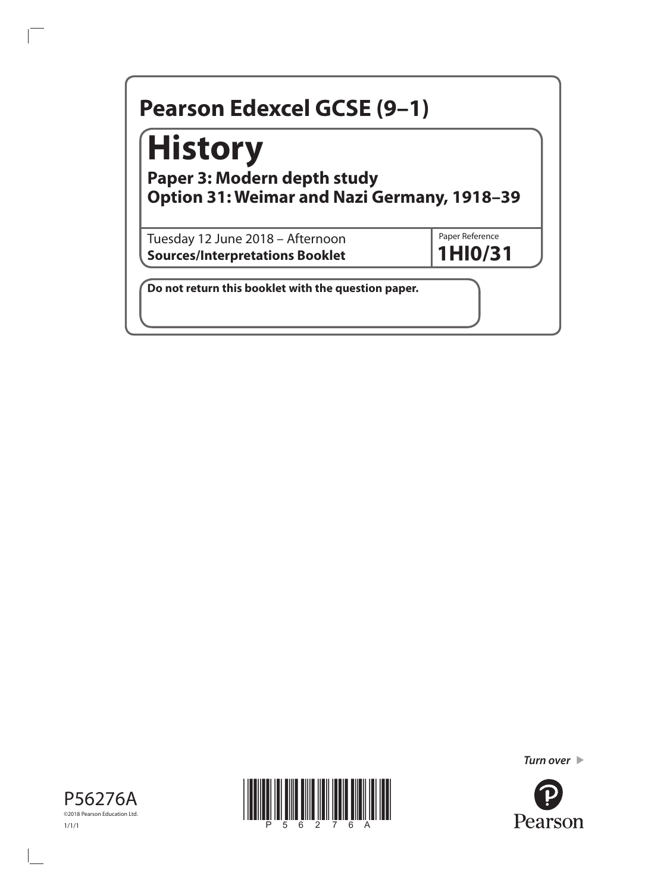# Paper Reference **1HI0/31 Do not return this booklet with the question paper.** Tuesday 12 June 2018 – Afternoon **Sources/Interpretations Booklet Pearson Edexcel GCSE (9–1) History Paper 3: Modern depth study Option 31: Weimar and Nazi Germany, 1918–39**





*Turn over* 

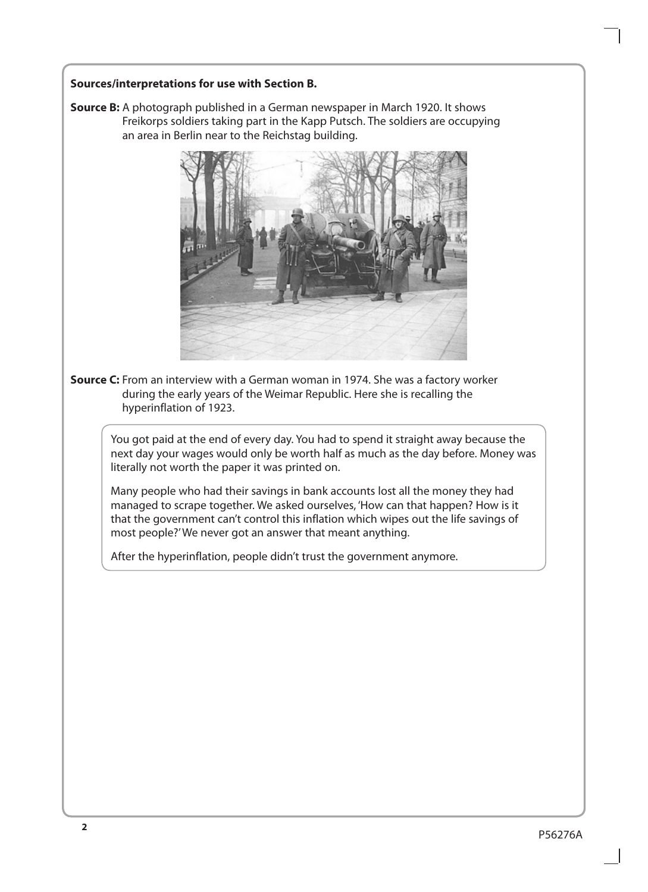#### **Sources/interpretations for use with Section B.**

**Source B:** A photograph published in a German newspaper in March 1920. It shows Freikorps soldiers taking part in the Kapp Putsch. The soldiers are occupying an area in Berlin near to the Reichstag building.



**Source C:** From an interview with a German woman in 1974. She was a factory worker during the early years of the Weimar Republic. Here she is recalling the hyperinflation of 1923.

You got paid at the end of every day. You had to spend it straight away because the next day your wages would only be worth half as much as the day before. Money was literally not worth the paper it was printed on.

Many people who had their savings in bank accounts lost all the money they had managed to scrape together. We asked ourselves, 'How can that happen? How is it that the government can't control this inflation which wipes out the life savings of most people?' We never got an answer that meant anything.

After the hyperinflation, people didn't trust the government anymore.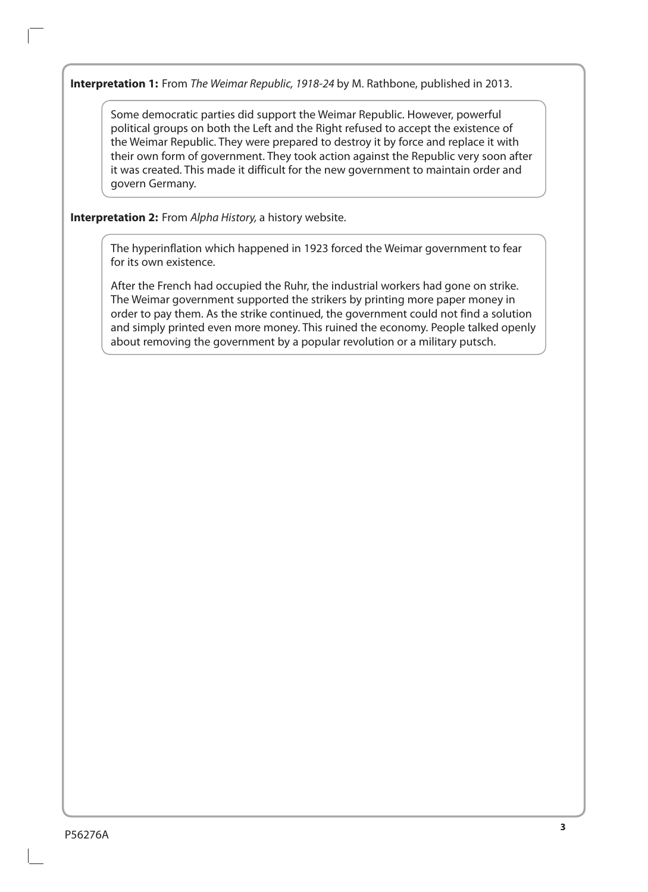**Interpretation 1:** From *The Weimar Republic, 1918-24* by M. Rathbone, published in 2013.

Some democratic parties did support the Weimar Republic. However, powerful political groups on both the Left and the Right refused to accept the existence of the Weimar Republic. They were prepared to destroy it by force and replace it with their own form of government. They took action against the Republic very soon after it was created. This made it difficult for the new government to maintain order and govern Germany.

**Interpretation 2:** From *Alpha History,* a history website.

The hyperinflation which happened in 1923 forced the Weimar government to fear for its own existence.

After the French had occupied the Ruhr, the industrial workers had gone on strike. The Weimar government supported the strikers by printing more paper money in order to pay them. As the strike continued, the government could not find a solution and simply printed even more money. This ruined the economy. People talked openly about removing the government by a popular revolution or a military putsch.